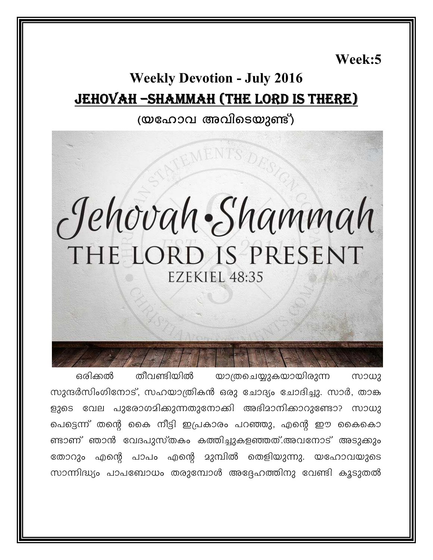Week:5

## **Weekly Devotion - July 2016** JEHOVAH - SHAMMAH (THE LORD IS THERE)

#### (യഹോവ അവിടെയുണ്ട്)

# Jehovah Shammah THE LORD IS PRESENT EZEKIEL 48:35

ഒരിക്കൽ തീവണ്ടിയിൽ യാത്രചെയ്യുകയായിരുന്ന സാധു സുന്ദർസിംഗിനോട്, സഹയാത്രികൻ ഒരു ചോദ്യം ചോദിച്ചു. സാർ, താങ്ക ളുടെ വേല പുരോഗമിക്കുന്നതുനോകി അഭിമാനിക്കാറുണ്ടോ? സാധു പെട്ടെന്ന് തന്റെ കൈ നീട്ടി ഇപ്രകാരം പറഞ്ഞു, എന്റെ ഈ കൈകൊ ണ്ടാണ് ഞാൻ വേദപുസ്തകം കത്തിച്ചുകളഞ്ഞത്.അവനോട് അടുക്കും തോറും എന്റെ പാപം എന്റെ മുമ്പിൽ തെളിയുന്നു. യഹോവയുടെ സാന്നിദ്ധ്യം പാപബോധം തരുമ്പോൾ അദ്ദേഹത്തിനു വേണ്ടി കൂടുതൽ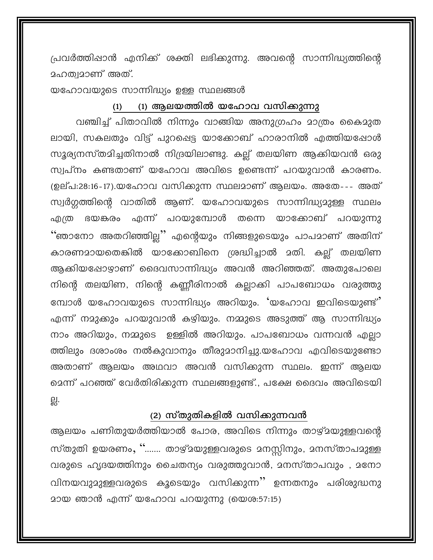പ്രവർത്തിഷാൻ എനിക്ക് ശക്തി ലഭിക്കുന്നു. അവന്റെ സാന്നിദ്ധ്യത്തിന്റെ മഹത്വമാണ് അത്.

യഹോവയുടെ സാന്നിദ്ധ്യം ഉള്ള സ്ഥലങ്ങൾ

#### (1) ആലയത്തിൽ യഹോവ വസിക്കുന്നു  $(1)$

വഞ്ചിച്ച് പിതാവിൽ നിന്നും വാങ്ങിയ അനുഗ്രഹം മാത്രം കൈമുത ലായി, സകലതും വിട്ട് പുറപ്പെട്ട യാക്കോബ് ഹാരാനിൽ എത്തിയപ്പോൾ സൂര്യനസ്തമിച്ചതിനാൽ നിദ്രയിലാണ്ടു. കല്ല് തലയിണ ആക്കിയവൻ ഒരു സ്വപ്നം കണ്ടതാണ് യഹോവ അവിടെ ഉണ്ടെന്ന് പറയുവാൻ കാരണം. (ഉല്പ:28:16-17).യഹോവ വസിക്കുന്ന സ്ഥലമാണ് ആലയം. അതേ--- അത് സ്വർഗ്ഗത്തിന്റെ വാതിൽ ആണ്. യഹോവയുടെ സാന്നിദ്ധ്യമുള്ള സ്ഥലം ഭയങ്കരം എന്ന് പറയുമ്പോൾ തന്നെ യാക്കോബ് പറയുന്നു എ(ത "ഞാനോ അതറിഞ്ഞില്ല" എന്റെയും നിങ്ങളുടെയും പാപമാണ് അതിന് കാരണമായതെങ്കിൽ യാക്കോബിനെ ശ്രദ്ധിച്ചാൽ മതി. കല്ല് തലയിണ ആക്കിയപ്പോഴാണ് ദൈവസാന്നിദ്ധ്യം അവൻ അറിഞ്ഞത്. അതുപോലെ നിന്റെ തലയിണ, നിന്റെ കണ്ണീരിനാൽ കല്ലാക്കി പാപബോധം വരുത്തു മ്പോൾ യഹോവയുടെ സാന്നിദ്ധ്യം അറിയും. 'യഹോവ ഇവിടെയുണ്ട്' എന്ന് നമുക്കും പറയുവാൻ കഴിയും. നമ്മുടെ അടുത്ത് ആ സാന്നിദ്ധ്യം നാം അറിയും, നമ്മുടെ ഉള്ളിൽ അറിയും. പാപബോധം വന്നവൻ എല്ലാ ത്തിലും ദശാംശം നൽകുവാനും തീരുമാനിച്ചു.യഹോവ എവിടെയുണ്ടോ അതാണ് ആലയം അഥവാ അവൻ വസിക്കുന്ന സ്ഥലം. ഇന്ന് ആലയ മെന്ന് പറഞ്ഞ് വേർതിരിക്കുന്ന സ്ഥലങ്ങളുണ്ട്., പക്ഷേ ദൈവം അവിടെയി 믮.

#### (2) സ്തുതികളിൽ വസിക്കുന്നവൻ

ആലയം പണിതുയർത്തിയാൽ പോര, അവിടെ നിന്നും താഴ്മയുള്ളവന്റെ സ്തുതി ഉയരണം, ''……. താഴ്മയുള്ളവരുടെ മനസ്സിനും, മനസ്താപമുള്ള വരുടെ ഹൃദയത്തിനും ചൈതന്യം വരുത്തുവാൻ, മനസ്താപവും , മനോ വിനയവുമുള്ളവരുടെ കൂടെയും വസിക്കുന്ന " ഉന്നതനും പരിശുദ്ധനു മായ ഞാൻ എന്ന് യഹോവ പറയുന്നു (യെശ:57:15)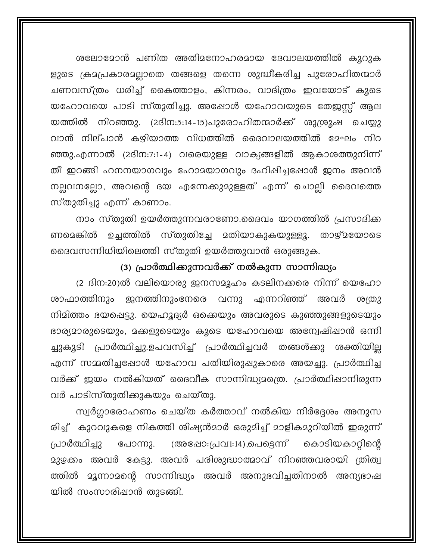ശലോമോൻ പണിത അതിമനോഹരമായ ദേവാലയത്തിൽ കൂറുക ളുടെ ക്രമപ്രകാരമല്ലാതെ തങ്ങളെ തന്നെ ശുദ്ധീകരിച്ച പുരോഹിതന്മാർ ചണവസ്ത്രം ധരിച്ച് കൈത്താളം, കിന്നരം, വാദിത്രം ഇവയോട് കൂടെ യഹോവയെ പാടി സ്തുതിച്ചു. അഷോൾ യഹോവയുടെ തേജസ്സ് ആല യത്തിൽ നിറഞ്ഞു. (2ദിന:5:14-15)പുരോഹിതന്മാർക്ക് ശുശ്രൂഷ ചെയ്യു വാൻ നില്പാൻ കഴിയാത്ത വിധത്തിൽ ദൈവാലയത്തിൽ മേഘം നിറ ഞ്ഞു.എന്നാൽ (2ദിന:7:1-4) വരെയുള്ള വാക്യങ്ങളിൽ ആകാശത്തുനിന്ന് തീ ഇറങ്ങി ഹനനയാഗവും ഹോദയാഗവും ദഹിഷിച്ചപ്പോൾ ജനം അവൻ നല്ലവനല്ലോ, അവന്റെ ദയ എന്നേക്കുമുള്ളത് എന്ന് ചൊല്ലി ദൈവത്തെ സ്തുതിച്ചു എന്ന് കാണാം.

നാം സ്തുതി ഉയർത്തുന്നവരാണോ.ദൈവം യാഗത്തിൽ പ്രസാദിക്ക ണമെങ്കിൽ ഉച്ചത്തിൽ സ്തുതിച്ചേ മതിയാകുകയുള്ളൂ. താഴ്മയോടെ ദൈവസന്നിധിയിലെത്തി സ്തുതി ഉയർത്തുവാൻ ഒരുങ്ങുക.

#### (3) പ്രാർത്ഥിക്കുന്നവർക്ക് നൽകുന്ന സാന്നിദ്ധ്യം

(2 ദിന:20)ൽ വലിയൊരു ജനസമൂഹം കടലിനക്കരെ നിന്ന് യെഹോ രാഫാത്തിനും ജനത്തിനുംനേരെ വന്നു എന്നറിഞ്ഞ് അവർ ശത്രു നിമിത്തം ഭയപ്പെട്ടു. യെഹൂദ്യർ ഒക്കെയും അവരുടെ കുഞ്ഞുങ്ങളുടെയും ഭാര്യമാരുടെയും, മക്കളുടെയും കൂടെ യഹോവയെ അന്വേഷിഷാൻ ഒന്നി ച്ചുകൂടി പ്രാർത്ഥിച്ചു.ഉപവസിച്ച് പ്രാർത്ഥിച്ചവർ തങ്ങൾക്കു ശക്തിയില്ല എന്ന് സമ്മതിച്ചപ്പോൾ യഹോവ പതിയിരുഷുകാരെ അയച്ചു. പ്രാർത്ഥിച്ച വർക്ക് ജയം നൽകിയത് ദൈവീക സാന്നിദ്ധ്യമത്രെ. പ്രാർത്ഥിഷാനിരുന്ന വർ പാടിസ്തുതിക്കുകയും ചെയ്തു.

സ്വർഗ്ലാരോഹണം ചെയ്ത കർത്താവ് നൽകിയ നിർദ്ദേശം അനുസ രിച്ച് കുറവുകളെ നികത്തി ശിഷ്യൻമാർ ഒരുമിച്ച് മാളികമുറിയിൽ ഇരുന്ന് കൊടിയകാറ്റിന്റെ പ്രാർത്ഥിച്ചു (അഷോ:പ്രവ1:14),പെട്ടെന്ന് പോന്നു. മുഴക്കം അവർ കേട്ടു. അവർ പരിശുദ്ധാത്മാവ് നിറഞ്ഞവരായി ത്രിത്വ ത്തിൽ മൂന്നാമന്റെ സാന്നിദ്ധ്യം അവർ അനുഭവിച്ചതിനാൽ അന്യഭാഷ യിൽ സംസാരിഷാൻ തുടങ്ങി.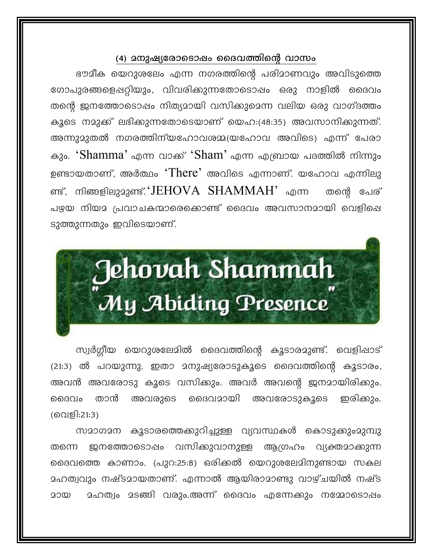#### (4) മനുഷ്യരോടൊഷം ദൈവത്തിന്റെ വാസം

ഭൗമീക യെറുശലേം എന്ന നഗരത്തിന്റെ പരിമാണവും അവിടുത്തെ ഗോപുരങ്ങളെഷറ്റിയും, വിവരിക്കുന്നതോടൊഷം ഒരു നാളിൽ ദൈവം തന്റെ ജനത്തോടൊഷം നിത്യമായി വസിക്കുമെന്ന വലിയ ഒരു വാഗ്ദത്തം കൂടെ നമുക്ക് ലഭിക്കുന്നതോടെയാണ് യെഹ:(48:35) അവസാനിക്കുന്നത്. അന്നുമുതൽ നഗരത്തിന്യഹോവശമ്മ(യഹോവ അവിടെ) എന്ന് പേരാ കും. 'Shamma' എന്ന വാക്ക് 'Sham' എന്ന എബ്രായ പദത്തിൽ നിന്നും ഉണ്ടായതാണ്, അർത്ഥം 'There' അവിടെ എന്നാണ്. യഹോവ എന്നിലു ണ്ട്, നിങ്ങളിലുമുണ്ട്.'JEHOVA SHAMMAH' എന്ന തന്റെ പേര് പഴയ നിയമ പ്രവാചകന്മാരെക്കൊണ്ട് ദൈവം അവസാനമായി വെളിപ്പെ ടുത്തുന്നതും ഇവിടെയാണ്.



സ്വർഗ്ഗീയ യെറുശലേമിൽ ദൈവത്തിന്റെ കൂടാരമുണ്ട്. വെളിപ്പാട് (21:3) ൽ പറയുന്നു. ഇതാ മനുഷ്യരോടുകൂടെ ദൈവത്തിന്റെ കൂടാരം, അവൻ അവരോടു കൂടെ വസിക്കും. അവർ അവന്റെ ജനമായിരിക്കും. താൻ അവരുടെ ദൈവമായി മൈവം അവരോടുകൂടെ ഇരിക്കും. (വെളി:21:3)

സമാഗമന കൂടാരത്തെക്കുറിച്ചുള്ള വ്യവസ്ഥകൾ കൊടുക്കുംമുമ്പു ജനത്തോടൊഷം വസിക്കുവാനുള്ള ആഗ്രഹം വ്യക്തമാക്കുന്ന തന്നെ മൈവത്തെ കാണാം. (പുറ:25:8) ഒരിക്കൽ യെറുശലേമിനുണ്ടായ സകല ഛത്വവും നഷ്ടമായതാണ്. എന്നാൽ ആയിരാമാണ്ടു വാഴ്ചയിൽ നഷ്ട മഹത്വം മടങ്ങി വരും.അന്ന് ദൈവം എന്നേക്കും നമ്മോടൊഷം മായ